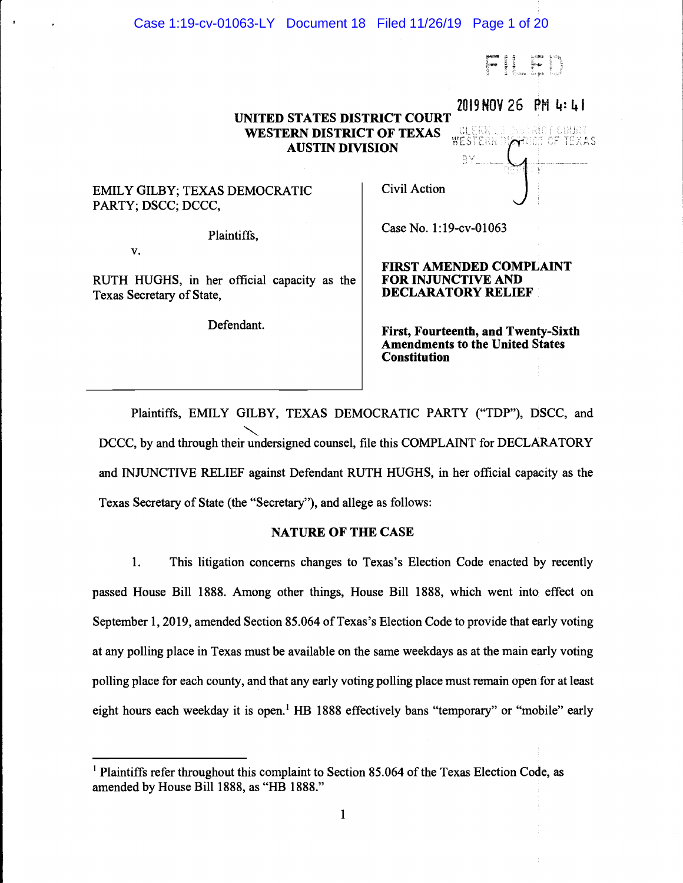# Case 1:19-cv-01063-LY Document 18 Filed 11/26/19 Page 1 of 20

FILED

2019 NOV 26 PM 4:41

 $\sqrt{1}$ 

# UNITED STATES DISTRICT COURT<br>WESTERN DISTRICT OF TEXAS<br>AUSTIN DIVISION WESTERN DISTRICT OF TEXAS AUSTIN DiVISION

# EMILY GILBY; TEXAS DEMOCRATIC PARTY; DSCC; DCCC,

Plaintiffs,

V.

RUTH HUGHS, in her official capacity as the Texas Secretary of State,

Defendant.

Civil Action Julie 1988

Case No. 1:19-cv-01063

FiRST AMENDED COMPLAINT FOR INJUNCTiVE AND DECLARATORY RELIEF

First, Fourteenth, and Twenty-Sixth Amendments to the United States Constitution

Plaintiffs, EMILY GILBY, TEXAS DEMOCRATIC PARTY ("TDP"), DSCC, and DCCC, by and through their undersigned counsel, file this COMPLAINT for DECLARATORY and iNJUNCTIVE RELIEF against Defendant RUTH HUGHS, in her official capacity as the Texas Secretary of State (the "Secretary"), and allege as follows:

# NATURE OF THE CASE

1. This litigation concerns changes to Texas's Election Code enacted by recently passed House Bill 1888. Among other things, House Bill 1888, which went into effect on September 1, 2019, amended Section 85.064 of Texas's Election Code to provide that early voting at any polling place in Texas must be available on the same weekdays as at the main early voting polling place for each county, and that any early voting polling place must remain open for at least eight hours each weekday it is open.<sup>1</sup> HB 1888 effectively bans "temporary" or "mobile" early

 $<sup>1</sup>$  Plaintiffs refer throughout this complaint to Section 85.064 of the Texas Election Code, as</sup> amended by House Bill 1888, as "HB 1888."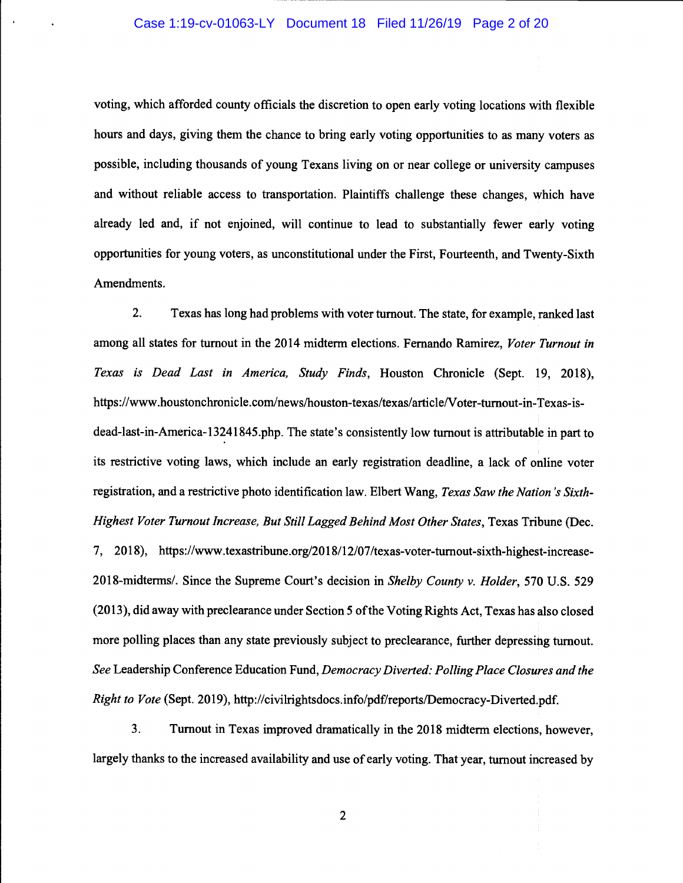### Case 1:19-cv-01063-LY Document 18 Filed 11/26/19 Page 2 of 20

voting, which afforded county officials the discretion to open early voting locations with flexible hours and days, giving them the chance to bring early voting opportunities to as many voters as possible, including thousands of young Texans living on or near college or university campuses and without reliable access to transportation. Plaintiffs challenge these changes, which have already led and, if not enjoined, will continue to lead to substantially fewer early voting opportunities for young voters, as unconstitutional under the First, Fourteenth, and Twenty-Sixth Amendments.

2. Texas has long had problems with voter turnout. The state, for example, ranked last among all states for turnout in the 2014 midterm elections. Fernando Ramirez, Voter Turnout in Texas is Dead Last in America, Study Finds, Houston Chronicle (Sept. 19, 2018), https://www.houstonchronicle.com/news/houston-texas/texas/article/Voter-turnout-in-Texas-isdead-last-in-America- 13241845 .php. The state's consistently low turnout is attributable in part to its restrictive voting laws, which include an early registration deadline, a lack of online voter registration, and a restrictive photo identification law. Elbert Wang, Texas Saw the Nation 's Sixth-Highest Voter Turnout Increase, But Still Lagged Behind Most Other States, Texas Tribune (Dec. 7, 2018), https://www.texastribune.org/20 18/12/07/texas-voter-turnout-sixth-highest-increase-2018-midterms/. Since the Supreme Court's decision in Shelby County v. Holder, 570 U.S. 529 (2013), did away with preclearance under Section 5 of the Voting Rights Act, Texas has also closed more polling places than any state previously subject to preclearance, further depressing turnout. See Leadership Conference Education Fund, Democracy Diverted: Polling Place Closures and the Right to Vote (Sept. 2019), http://civilrightsdocs.info/pdf/reports/Democracy-Diverted.pdf.

3. Turnout in Texas improved dramatically in the 2018 midterm elections, however, largely thanks to the increased availability and use of early voting. That year, turnout increased by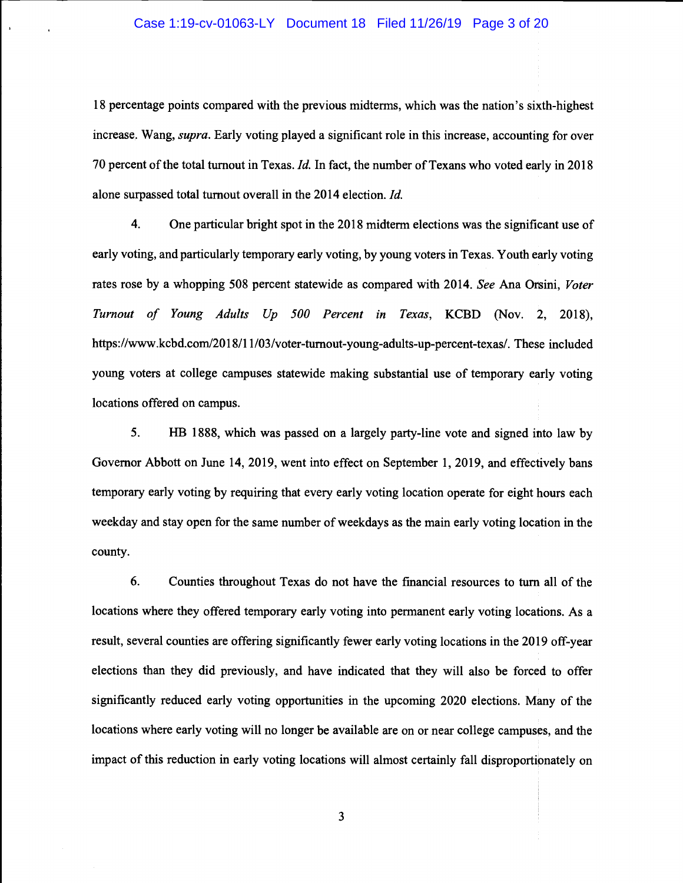## Case 1:19-cv-01063-LY Document 18 Filed 11/26/19 Page 3 of 20

18 percentage points compared with the previous midterms, which was the nation's sixth-highest increase. Wang, supra. Early voting played a significant role in this increase, accounting for over 70 percent of the total turnout in Texas. Id. In fact, the number of Texans who voted early in 2018 alone surpassed total turnout overall in the 2014 election. Id.

4. One particular bright spot in the 2018 midterm elections was the significant use of early voting, and particularly temporary early voting, by young voters in Texas. Youth early voting rates rose by a whopping 508 percent statewide as compared with 2014. See Ana Orsini, Voter Turnout of Young Adults Up 500 Percent in Texas, KCBD (Nov. 2, 2018), https://www.kcbd.com/2018/11/03/voter-turnout-young-adults-up-percent-texas/. These included young voters at college campuses statewide making substantial use of temporary early voting locations offered on campus.

5. HB 1888, which was passed on a largely party-line vote and signed into law by Governor Abbott on June 14, 2019, went into effect on September 1, 2019, and effectively bans temporary early voting by requiring that every early voting location operate for eight hours each weekday and stay open for the same number of weekdays as the main early voting location in the county.

6. Counties throughout Texas do not have the financial resources to turn all of the locations where they offered temporary early voting into permanent early voting locations. As a result, several counties are offering significantly fewer early voting locations in the 2019 off-year elections than they did previously, and have indicated that they will also be forced to offer significantly reduced early voting opportunities in the upcoming 2020 elections. Many of the locations where early voting will no longer be available are on or near college campuses, and the impact of this reduction in early voting locations will almost certainly fall disproportipnately on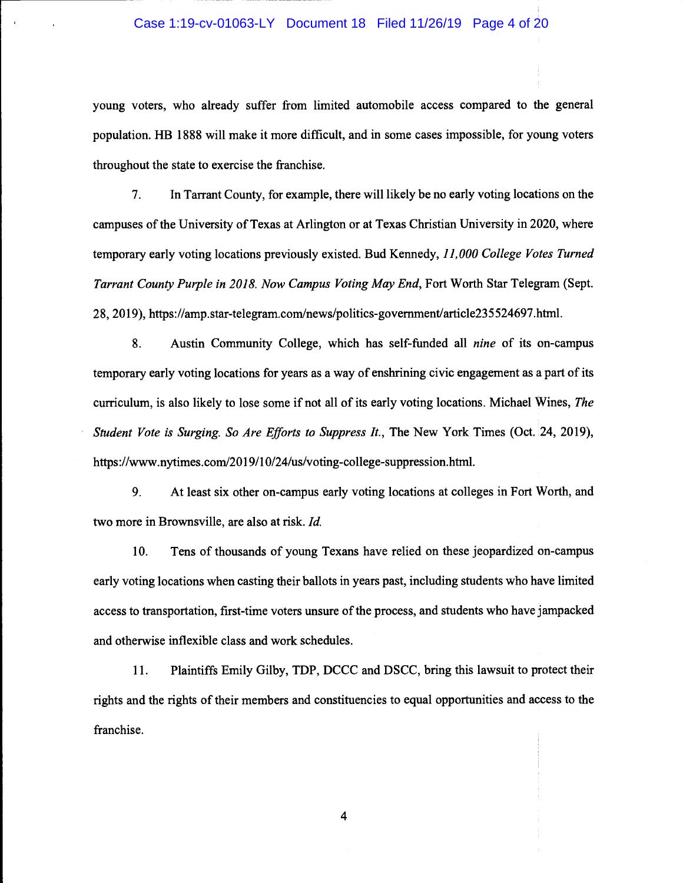# Case 1:19-cv-01063-LY Document 18 Filed 11/26/19 Page 4 of 20

young voters, who already suffer from limited automobile access compared to the general population. HB 1888 will make it more difficult, and in some cases impossible, for young voters throughout the state to exercise the franchise.

7. In Tarrant County, for example, there will likely be no early voting locations on the campuses of the University of Texas at Arlington or at Texas Christian University in 2020, where temporary early voting locations previously existed. Bud Kennedy, 11,000 College Votes Turned Tarrant County Purple in 2018. Now Campus Voting May End, Fort Worth Star Telegram (Sept. 28, 2019), https://amp.star-telegram.com/news/politics-govemment/article235 524697.html.

8. Austin Community College, which has self-funded all nine of its on-campus temporary early voting locations for years as a way of enshrining civic engagement as a part of its curriculum, is also likely to lose some if not all of its early voting locations. Michael Wines, The Student Vote is Surging. So Are Efforts to Suppress It., The New York Times (Oct. 24, 2019), https://www.nytimes.com/2019/10/24/us/voting-college-suppression.html.

9. At least six other on-campus early voting locations at colleges in Fort Worth, and two more in Brownsville, are also at risk. Id.

10. Tens of thousands of young Texans have relied on these jeopardized on-campus early voting locations when casting their ballots in years past, including students who have limited access to transportation, first-time voters unsure of the process, and students who have jampacked and otherwise inflexible class and work schedules.

11. Plaintiffs Emily Gilby, TDP, DCCC and DSCC, bring this lawsuit to protect their rights and the rights of their members and constituencies to equal opportunities and access to the franchise.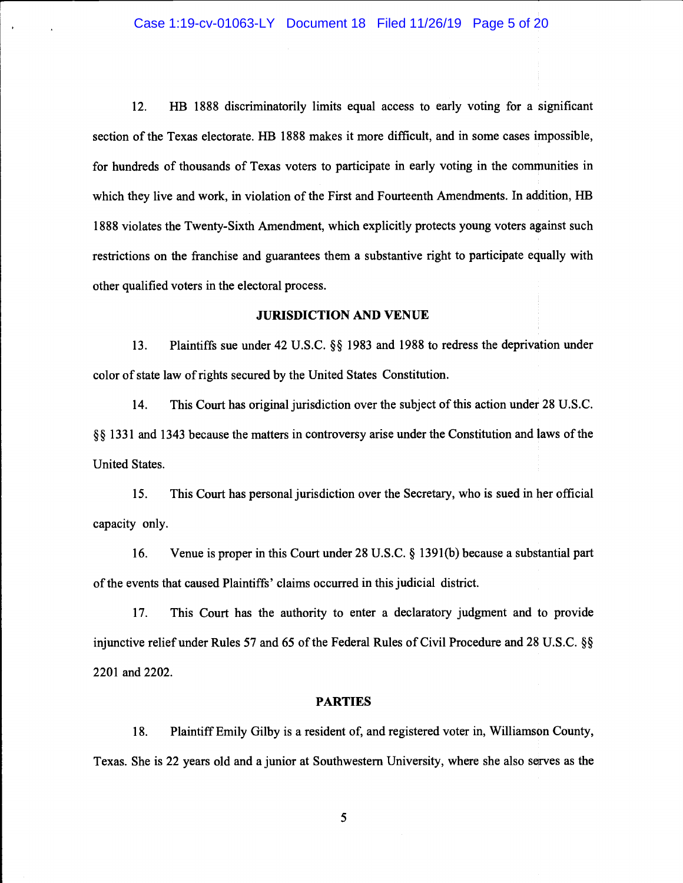12. HB 1888 discriminatorily limits equal access to early voting for a significant section of the Texas electorate. HB 1888 makes it more difficult, and in some cases impossible, for hundreds of thousands of Texas voters to participate in early voting in the communities in which they live and work, in violation of the First and Fourteenth Amendments. In addition, HB 1888 violates the Twenty-Sixth Amendment, which explicitly protects young voters against such restrictions on the franchise and guarantees them a substantive right to participate equally with other qualified voters in the electoral process.

### JURISDICTION AND VENUE

13. Plaintiffs sue under 42 U.S.C. § 1983 and 1988 to redress the deprivation under color of state law of rights secured by the United States Constitution.

14. This Court has original jurisdiction over the subject of this action under 28 U.s.c. § § 1331 and 1343 because the matters in controversy arise under the Constitution and laws of the United States.

15. This court has personal jurisdiction over the Secretary, who is sued in her official capacity only.

16. Venue is proper in this Court under 28 U.S.C. § 139 1(b) because a substantial part of the events that caused Plaintiffs' claims occurred in this judicial district.

17. This Court has the authority to enter a declaratory judgment and to provide injunctive relief under Rules 57 and 65 of the Federal Rules of Civil Procedure and 28 U.S.C. § 2201 and 2202.

### PARTIES

18. Plaintiff Emily Gilby is a resident of, and registered voter in, Williamson County, Texas. She is 22 years old and a junior at Southwestern University, where she also serves as the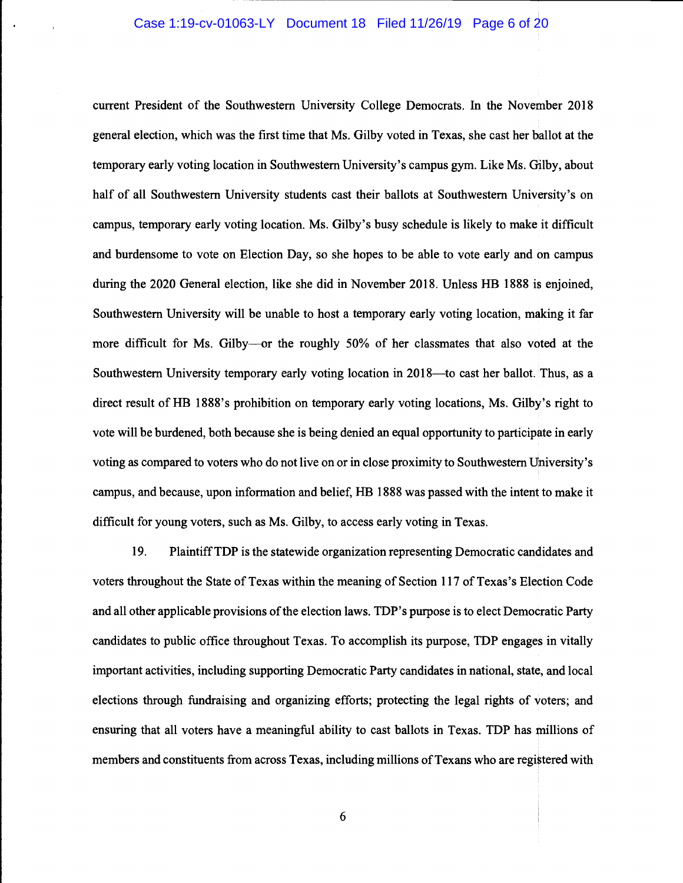# Case 1:19-cv-01063-LY Document 18 Filed 11/26/19 Page 6 of 20

current President of the Southwestern University College Democrats. In the November 2018 general election, which was the first time that Ms. Gilby voted in Texas, she cast her ballot at the temporary early voting location in Southwestern University's campus gym. Like Ms. Gilby, about half of all Southwestern University students cast their ballots at Southwestern University's on campus, temporary early voting location. Ms. Gilby's busy schedule is likely to make it difficult and burdensome to vote on Election Day, so she hopes to be able to vote early and on campus during the 2020 General election, like she did in November 2018. Unless HB 1888 is enjoined, Southwestern University will be unable to host a temporary early voting location, making it far more difficult for Ms. Gilby----or the roughly 50% of her classmates that also voted at the Southwestern University temporary early voting location in 2018—to cast her ballot. Thus, as a direct result of HB 1888's prohibition on temporary early voting locations, Ms. Gilby's right to vote will be burdened, both because she is being denied an equal opportunity to participate in early voting as compared to voters who do not live on or in close proximity to Southwestern University's campus, and because, upon information and belief, HB 1888 was passed with the intent to make it difficult for young voters, such as Ms. Gilby, to access early voting in Texas.

19. Plaintiff TDP is the statewide organization representing Democratic candidates and voters throughout the State of Texas within the meaning of Section 117 of Texas's Election Code and all other applicable provisions of the election laws. TDP's purpose is to elect Democratic Party candidates to public office throughout Texas. To accomplish its purpose, TDP engages in vitally important activities, including supporting Democratic Party candidates in national, state, and local elections through fundraising and organizing efforts; protecting the legal rights of voters; and ensuring that all voters have a meaningful ability to cast ballots in Texas. TDP has millions of members and constituents from across Texas, including millions of Texans who are registered with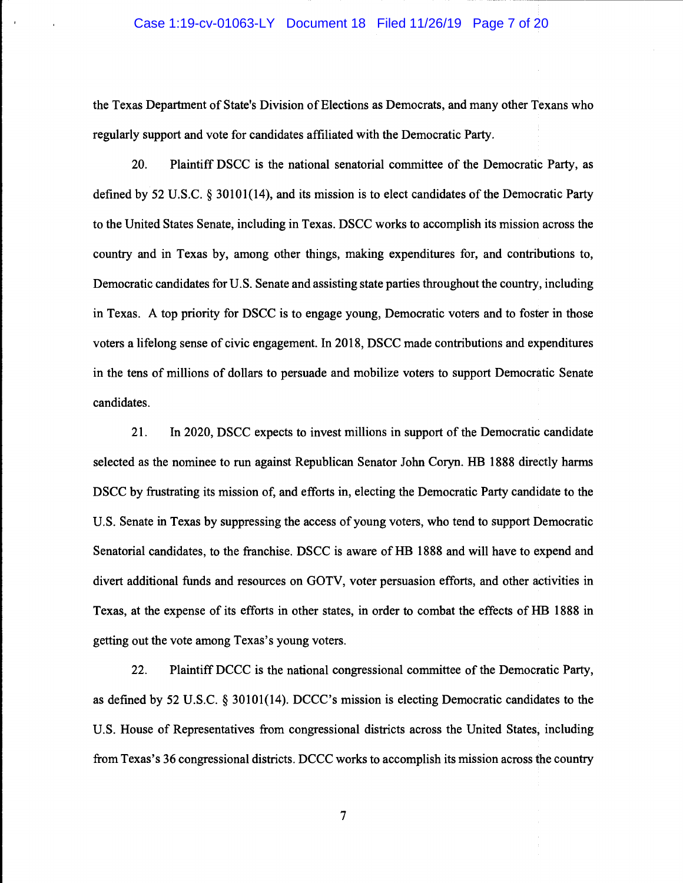### Case 1:19-cv-01063-LY Document 18 Filed 11/26/19 Page 7 of 20

the Texas Department of State's Division of Elections as Democrats, and many other Texans who regularly support and vote for candidates affiliated with the Democratic Party.

20. Plaintiff DSCC is the national senatorial committee of the Democratic Party, as defined by 52 U.S.C. § 30101(14), and its mission is to elect candidates of the Democratic Party to the United States Senate, including in Texas. DSCC works to accomplish its mission across the country and in Texas by, among other things, making expenditures for, and contributions to, Democratic candidates for U.S. Senate and assisting state parties throughout the country, including in Texas. A top priority for DSCC is to engage young, Democratic voters and to foster in those voters a lifelong sense of civic engagement. In 2018, DSCC made contributions and expenditures in the tens of millions of dollars to persuade and mobilize voters to support Democratic Senate candidates.

21. In 2020, DSCC expects to invest millions in support of the Democratic candidate selected as the nominee to run against Republican Senator John Coryn. HB 1888 directly harms DSCC by frustrating its mission of, and efforts in, electing the Democratic Party candidate to the U.S. Senate in Texas by suppressing the access of young voters, who tend to support Democratic Senatorial candidates, to the franchise. DSCC is aware of HB 1888 and will have to expend and divert additional funds and resources on GOTV, voter persuasion efforts, and other activities in Texas, at the expense of its efforts in other states, in order to combat the effects of HB 1888 in getting out the vote among Texas's young voters.

22. Plaintiff DCCC is the national congressional committee of the Democratic Party, as defined by 52 U.S.C. § 30101(14). DCCC's mission is electing Democratic candidates to the U.S. House of Representatives from congressional districts across the United States, including from Texas's 36 congressional districts. DCCC works to accomplish its mission across the country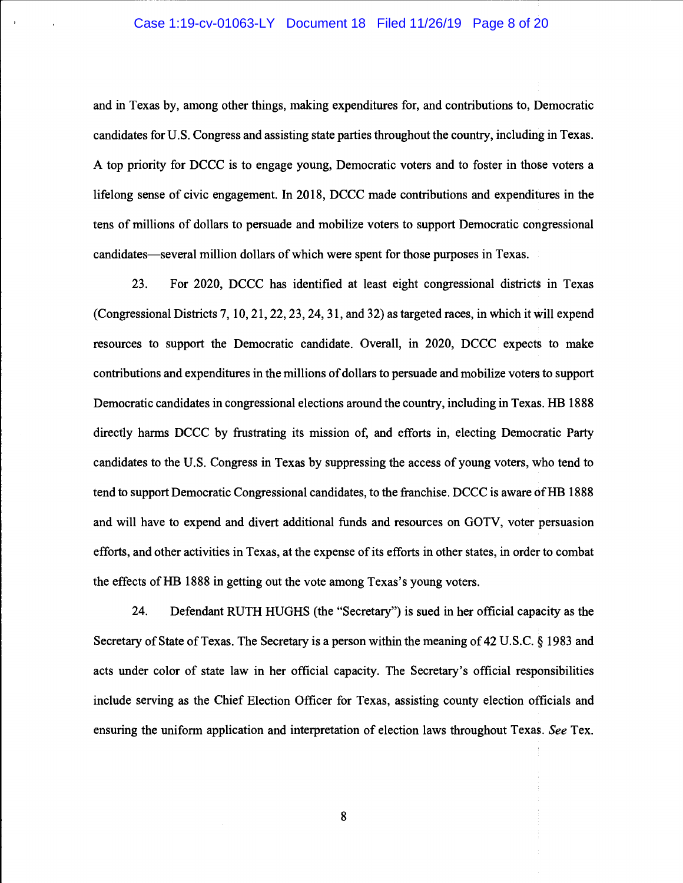## Case 1:19-cv-01063-LY Document 18 Filed 11/26/19 Page 8 of 20

and in Texas by, among other things, making expenditures for, and contributions to, Democratic candidates for U.S. Congress and assisting state parties throughout the country, including in Texas. A top priority for DCCC is to engage young, Democratic voters and to foster in those voters a lifelong sense of civic engagement. In 2018, DCCC made contributions and expenditures in the tens of millions of dollars to persuade and mobilize voters to support Democratic congressional candidates—several million dollars of which were spent for those purposes in Texas.

23. For 2020, DCCC has identified at least eight congressional districts in Texas (Congressional Districts 7, 10, 21, 22, 23, 24, 31, and 32) as targeted races, in which it will expend resources to support the Democratic candidate. Overall, in 2020, DCCC expects to make contributions and expenditures in the millions of dollars to persuade and mobilize voters to support Democratic candidates in congressional elections around the country, including in Texas. HB 1888 directly harms DCCC by frustrating its mission of, and efforts in, electing Democratic Party candidates to the U.S. Congress in Texas by suppressing the access of young voters, who tend to tend to support Democratic Congressional candidates, to the franchise. DCCC is aware of HB 1888 and will have to expend and divert additional funds and resources on GOTV, voter persuasion efforts, and other activities in Texas, at the expense of its efforts in other states, in order to combat the effects of HB 1888 in getting out the vote among Texas's young voters.

24. Defendant RUTH HUGHS (the "Secretary") is sued in her official capacity as the Secretary of State of Texas. The Secretary is a person within the meaning of 42 U.S.C. § 1983 and acts under color of state law in her official capacity. The Secretary's official responsibilities include serving as the Chief Election Officer for Texas, assisting county election officials and ensuring the uniform application and interpretation of election laws throughout Texas. See Tex.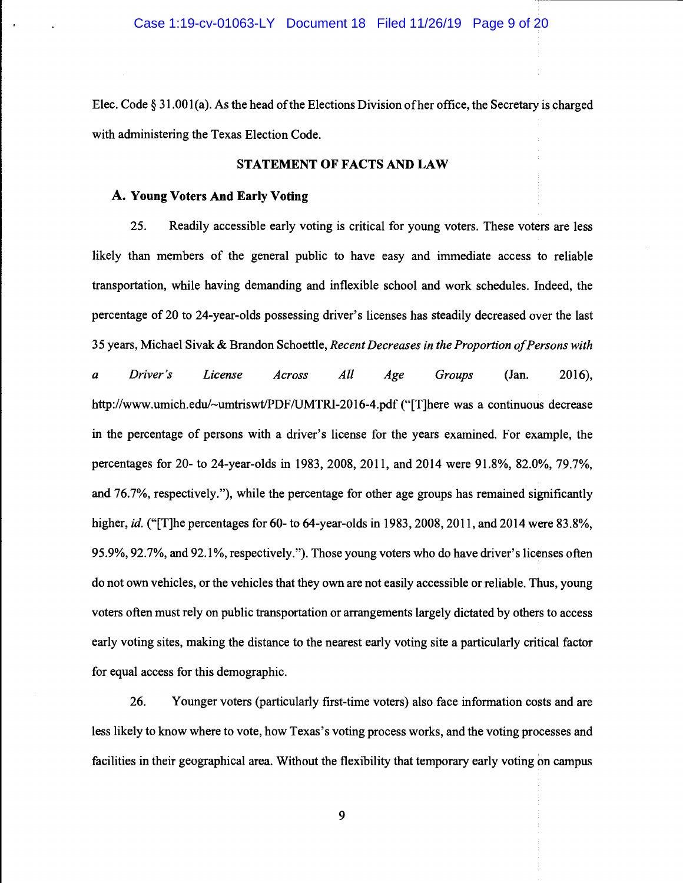Elec. Code § 31.001(a). As the head of the Elections Division of her office, the Secretary is charged with administering the Texas Election Code.

### STATEMENT OF FACTS AND LAW

# A. Young Voters And Early Voting

25. Readily accessible early voting is critical for young voters. These voters are less likely than members of the general public to have easy and immediate access to reliable transportation, while having demanding and inflexible school and work schedules. Indeed, the percentage of 20 to 24-year-olds possessing driver's licenses has steadily decreased over the last 35 years, Michael Sivak & Brandon Schoettle, Recent Decreases in the Proportion of Persons with a Driver's License Across All Age Groups (Jan. 2016), http://www.umich.edu/~umtriswt/PDF/UMTRI-2016-4.pdf ("[T]here was a continuous decrease in the percentage of persons with a driver's license for the years examined. For example, the percentages for 20- to 24-year-olds in 1983, 2008, 2011, and 2014 were 91.8%, 82.0%, 79.7%, and 76.7%, respectively."), while the percentage for other age groups has remained significantly higher, id. ("[T]he percentages for 60- to 64-year-olds in 1983, 2008, 2011, and 2014 were 83.8%, 95.9%, 92.7%, and 92.1%, respectively."). Those young voters who do have driver's licenses often do not own vehicles, or the vehicles that they own are not easily accessible or reliable. Thus, young voters often must rely on public transportation or arrangements largely dictated by others to access early voting sites, making the distance to the nearest early voting site a particularly critical factor for equal access for this demographic.

26. Younger voters (particularly first-time voters) also face information costs and are less likely to know where to vote, how Texas's voting process works, and the voting processes and facilities in their geographical area. Without the flexibility that temporary early voting on campus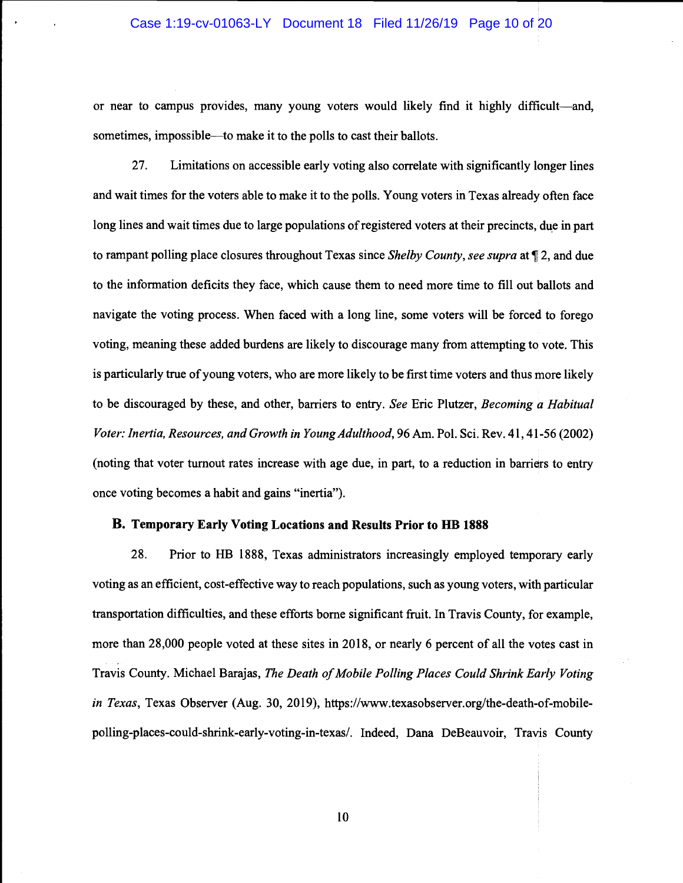## Case 1:19-cv-01063-LY Document 18 Filed 11/26/19 Page 10 of 20

or near to campus provides, many young voters would likely find it highly difficult—and, sometimes, impossible—to make it to the polls to cast their ballots.

27. Limitations on accessible early voting also correlate with significantly longer lines and wait times for the voters able to make it to the polls. Young voters in Texas already often face long lines and wait times due to large populations of registered voters at their precincts, due in part to rampant polling place closures throughout Texas since *Shelby County, see supra* at  $\mathbb{I}$  2, and due to the information deficits they face, which cause them to need more time to fill out ballots and navigate the voting process. When faced with a long line, some voters will be forced to forego voting, meaning these added burdens are likely to discourage many from attempting to vote. This is particularly true of young voters, who are more likely to be first time voters and thus more likely to be discouraged by these, and other, barriers to entry. See Eric Plutzer, Becoming a Habitual Voter: Inertia, Resources, and Growth in Young Adulthood, 96 Am. Pol. Sci. Rev. 41, 41-56 (2002) (noting that voter turnout rates increase with age due, in part, to a reduction in barriers to entry once voting becomes a habit and gains "inertia").

## B. Temporary Early Voting Locations and Results Prior to HB 1888

28. Prior to HB 1888, Texas administrators increasingly employed temporary early voting as an efficient, cost-effective way to reach populations, such as young voters, with particular transportation difficulties, and these efforts borne significant fruit. In Travis County, for example, more than 28,000 people voted at these sites in 2018, or nearly 6 percent of all the votes cast in Travis County. Michael Barajas, The Death of Mobile Polling Places Could Shrink Early Voting in Texas, Texas Observer (Aug. 30, 2019), https://www.texasobserver.org/the-death-of-mobilepolling-places-could-shrink-early-voting-in-texas!. Indeed, Dana DeBeauvoir, Travis County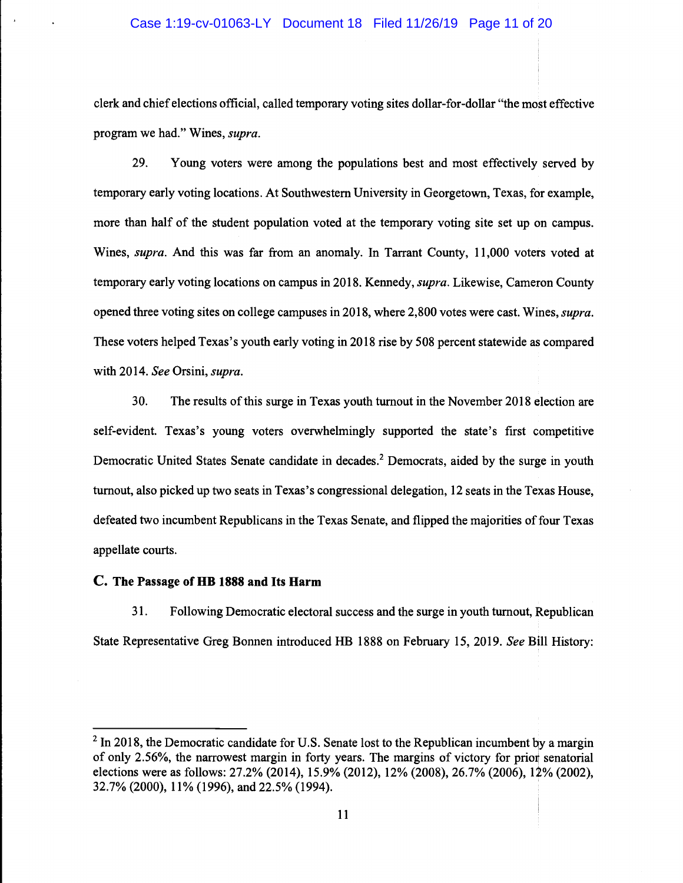clerk and chief elections official, called temporary voting sites dollar-for-dollar "the most effective program we had." Wines, supra.

29. Young voters were among the populations best and most effectively served by temporary early voting locations. At Southwestern University in Georgetown, Texas, for example, more than half of the student population voted at the temporary voting site set up on campus. Wines, supra. And this was far from an anomaly. In Tarrant County, 11,000 voters voted at temporary early voting locations on campus in 2018. Kennedy, *supra*. Likewise, Cameron County opened three voting sites on college campuses in 2018, where 2,800 votes were cast. Wines, supra. These voters helped Texas's youth early voting in 2018 rise by 508 percent statewide as compared with 2014. See Orsini, supra.

30. The results of this surge in Texas youth turnout in the November 2018 election are self-evident. Texas's young voters overwhelmingly supported the state's first competitive Democratic United States Senate candidate in decades.<sup>2</sup> Democrats, aided by the surge in youth turnout, also picked up two seats in Texas's congressional delegation, 12 seats in the Texas House, defeated two incumbent Republicans in the Texas Senate, and flipped the majorities of four Texas appellate courts.

## C. The Passage of HB 1888 and Its Harm

31. Following Democratic electoral success and the surge in youth turnout, Republican State Representative Greg Bonnen introduced HB 1888 on February 15, 2019. See Bill History:

 $2$  In 2018, the Democratic candidate for U.S. Senate lost to the Republican incumbent by a margin of only 2.56%, the narrowest margin in forty years. The margins of victory for prior senatorial elections were as follows: 27.2% (2014), 15.9% (2012), 12% (2008), 26.7% (2006), 12% (2002), 32.7% (2000), 11% (1996), and 22.5% (1994).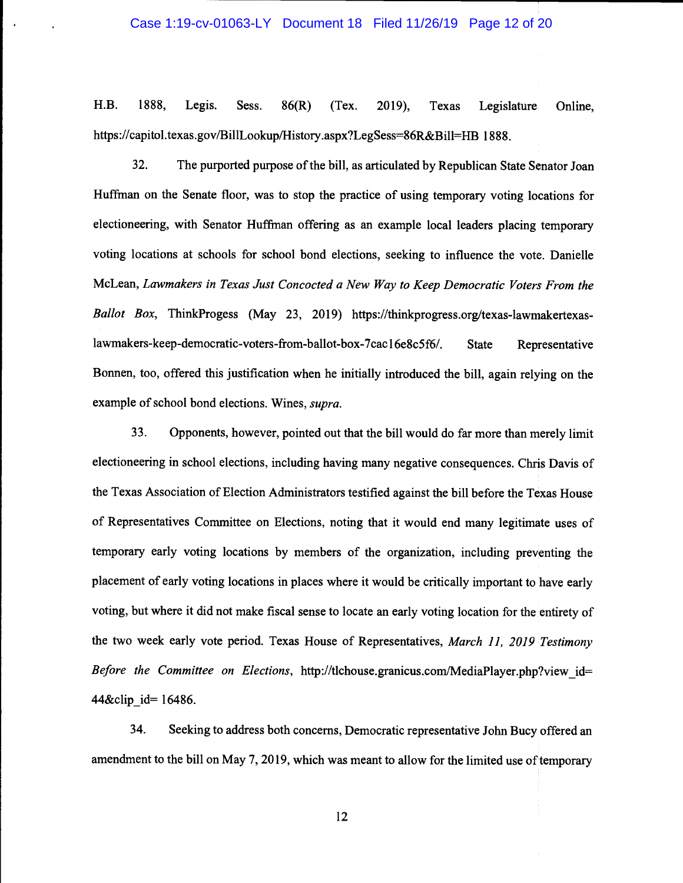#### Case 1:19-cv-01063-LY Document 18 Filed 11/26/19 Page 12 of 20

H.B. 1888, Legis. Sess. 86(R) (Tex. 2019), Texas Legislature Online, https://capitol.texas.gov/BillLookup/History.aspx?LegSess=86R&Bill=HB 1888.

32. The purported purpose of the bill, as articulated by Republican State Senator Joan Huffman on the Senate floor, was to stop the practice of using temporary voting locations for electioneering, with Senator Huffrnan offering as an example local leaders placing temporary voting locations at schools for school bond elections, seeking to influence the vote. Danielle McLean, Lawmakers in Texas Just Concocted a New Way to Keep Democratic Voters From the Ballot Box, ThinkProgess (May 23, 2019) https://thinkprogress.org/texas-lawmakertexaslawmakers-keep-democratic-voters-from-ballot-box-7cac16e8c5f6/. State Representative Bonnen, too, offered this justification when he initially introduced the bill, again relying on the example of school bond elections. Wines, *supra*.

33. Opponents, however, pointed out that the bill would do far more than merely limit electioneering in school elections, including having many negative consequences. Chris Davis of the Texas Association of Election Administrators testified against the bill before the Texas House of Representatives Committee on Elections, noting that it would end many legitimate uses of temporary early voting locations by members of the organization, including preventing the placement of early voting locations in places where it would be critically important to have early voting, but where it did not make fiscal sense to locate an early voting location for the entirety of the two week early vote period. Texas House of Representatives, March 11, 2019 Testimony Before the Committee on Elections, http://tlchouse.granicus.com/MediaPlayer.php?view\_id= 44&clip id= 16486.

34. Seeking to address both concerns, Democratic representative John Bucy offered an amendment to the bill on May 7, 2019, which was meant to allow for the limited use of temporary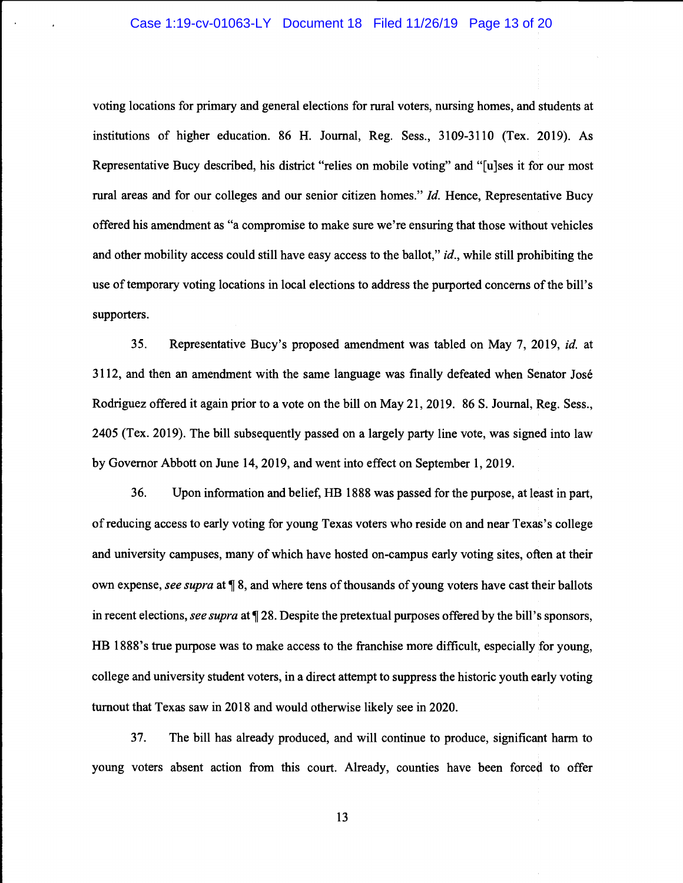### Case 1:19-cv-01063-LY Document 18 Filed 11/26/19 Page 13 of 20

voting locations for primary and general elections for rural voters, nursing homes, and students at institutions of higher education. 86 H. Journal, Reg. Sess., 3109-3110 (Tex. 2019). As Representative Bucy described, his district "relies on mobile voting" and "{u]ses it for our most rural areas and for our colleges and our senior citizen homes." Id. Hence, Representative Bucy offered his amendment as "a compromise to make sure we're ensuring that those without vehicles and other mobility access could still have easy access to the ballot," *id.*, while still prohibiting the use of temporary voting locations in local elections to address the purported concerns of the bill's supporters.

35. Representative Bucy's proposed amendment was tabled on May 7, 2019, id. at 3112, and then an amendment with the same language was finally defeated when Senator José Rodriguez offered it again prior to a vote on the bill on May 21, 2019. 86 S. Journal, Reg. Sess., 2405 (Tex. 2019). The bill subsequently passed on a largely party line vote, was signed into law by Governor Abbott on June 14, 2019, and went into effect on September 1, 2019.

36. Upon information and belief, HB 1888 was passed for the purpose, at least in part, of reducing access to early voting for young Texas voters who reside on and near Texas's college and university campuses, many of which have hosted on-campus early voting sites, often at their own expense, see supra at  $\P$  8, and where tens of thousands of young voters have cast their ballots in recent elections, see supra at  $\P$  28. Despite the pretextual purposes offered by the bill's sponsors, HB 1888's true purpose was to make access to the franchise more difficult, especially for young, college and university student voters, in a direct attempt to suppress the historic youth early voting turnout that Texas saw in 2018 and would otherwise likely see in 2020.

37. The bill has already produced, and will continue to produce, significant harm to young voters absent action from this court. Already, counties have been forced to offer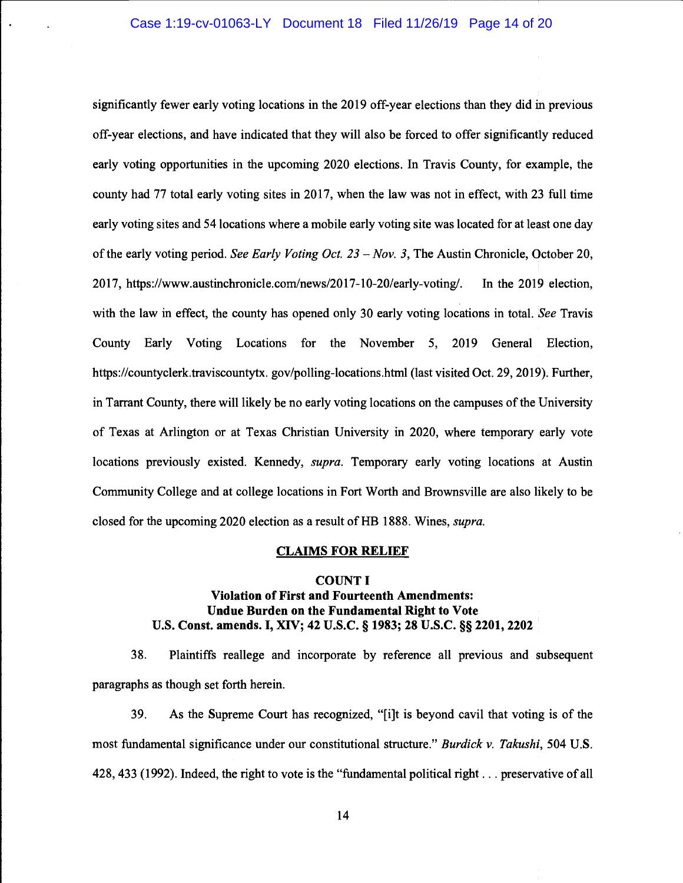# Case 1:19-cv-01063-LY Document 18 Filed 11/26/19 Page 14 of 20

significantly fewer early voting locations in the 2019 off-year elections than they did in previous off-year elections, and have indicated that they will also be forced to offer significantly reduced early voting opportunities in the upcoming 2020 elections. In Travis County, for example, the county had 77 total early voting sites in 2017, when the law was not in effect, with 23 full time early voting sites and 54 locations where a mobile early voting site was located for at least one day of the early voting period. See Early Voting Oct.  $23 - Nov. 3$ , The Austin Chronicle, October 20, 2017, https://www.austinchronicle.com/news/2017-10-20/early-voting/. In the 2019 election, with the law in effect, the county has opened only 30 early voting locations in total. See Travis County Early Voting Locations for the November 5, 2019 General Election, https://countyclerk.traviscountytx.gov/polling-locations.html (last visited Oct. 29, 2019). Further, in Tarrant County, there will likely be no early voting locations on the campuses of the University of Texas at Arlington or at Texas Christian University in 2020, where temporary early vote locations previously existed. Kennedy, supra. Temporary early voting locations at Austin Community College and at college locations in Fort Worth and Brownsville are also likely to be closed for the upcoming 2020 election as a result of HB 1888. Wines, supra.

# CLAIMS FOR RELIEF

## COUNT I

# Violation of First and Fourteenth Amendments: Undue Burden on the Fundamental Right to Vote U.S. Const. amends. I, XIV; 42 U.S.C. § 1983; 28 U.S.C. § 2201, 2202

38. Plaintiffs reallege and incorporate by reference all previous and subsequent paragraphs as though set forth herein.

39. As the Supreme Court has recognized, "{i]t is beyond cavil that voting is of the most fundamental significance under our constitutional structure." Burdick v. Takushi, 504 U.S. 428, 433 (1992). Indeed, the right to vote is the "fundamental political right. . . preservative of all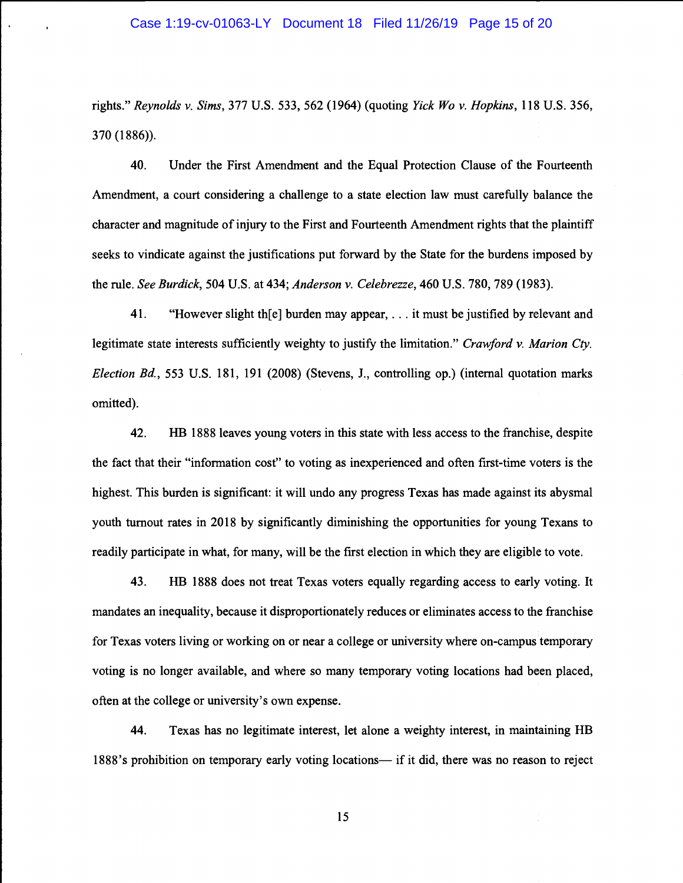### Case 1:19-cv-01063-LY Document 18 Filed 11/26/19 Page 15 of 20

rights." Reynolds v. Sims, 377 U.S. 533, 562 (1964) (quoting Yick Wo v. Hopkins, 118 U.S. 356, 370 (1886)).

40. Under the First Amendment and the Equal Protection Clause of the Fourteenth Amendment, a court considering a challenge to a state election law must carefully balance the character and magnitude of injury to the First and Fourteenth Amendment rights that the plaintiff seeks to vindicate against the justifications put forward by the State for the burdens imposed by the rule. See Burdick, 504 U.S. at 434; Anderson v. Celebrezze, 460 U.S. 780, 789 (1983).

41. "However slight the burden may appear,  $\dots$  it must be justified by relevant and legitimate state interests sufficiently weighty to justify the limitation." Crawford v. Marion Cty. Election Bd., 553 U.S. 181, 191 (2008) (Stevens, J., controlling op.) (internal quotation marks omitted).

42. HB 1888 leaves young voters in this state with less access to the franchise, despite the fact that their "information cost" to voting as inexperienced and often first-time voters is the highest. This burden is significant: it will undo any progress Texas has made against its abysmal youth turnout rates in 2018 by significantly diminishing the opportunities for young Texans to readily participate in what, for many, will be the first election in which they are eligible to vote.

43. HB 1888 does not treat Texas voters equally regarding access to early voting. It mandates an inequality, because it disproportionately reduces or eliminates access to the franchise for Texas voters living or working on or near a college or university where on-campus temporary voting is no longer available, and where so many temporary voting locations had been placed, often at the college or university's own expense.

44. Texas has no legitimate interest, let alone a weighty interest, in maintaining HB 1888's prohibition on temporary early voting locations- if it did, there was no reason to reject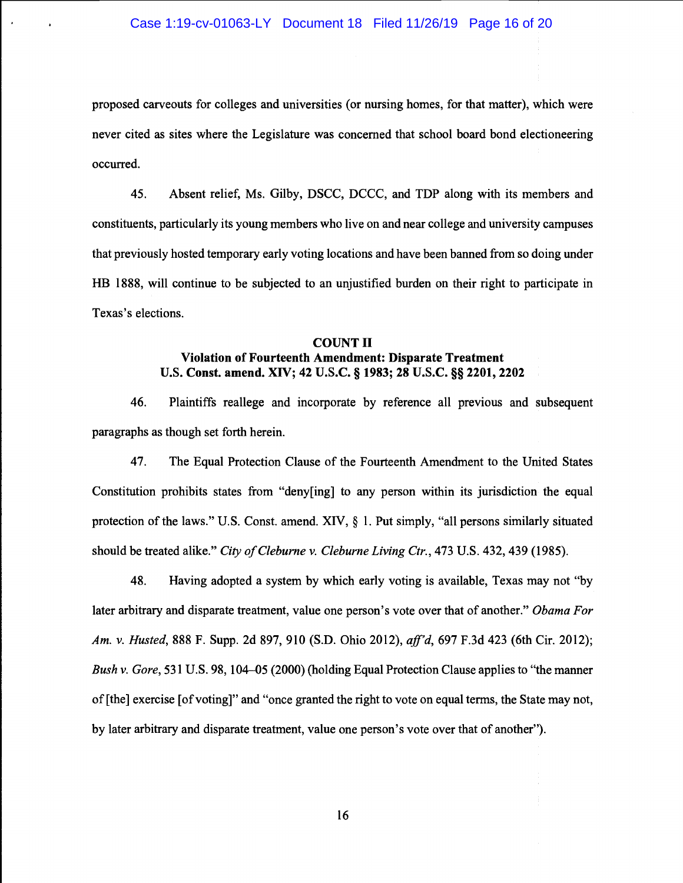### Case 1:19-cv-01063-LY Document 18 Filed 11/26/19 Page 16 of 20

proposed carveouts for colleges and universities (or nursing homes, for that matter), which were never cited as sites where the Legislature was concerned that school board bond electioneering occurred.

45. Absent relief, Ms. Gilby, DSCC, DCCC, and TDP along with its members and constituents, particularly its young members who live on and near college and university campuses that previously hosted temporary early voting locations and have been banned from so doing under HB 1888, will continue to be subjected to an unjustified burden on their right to participate in Texas's elections.

# **COUNT II** Violation of Fourteenth Amendment: Disparate Treatment U.S. Const. amend. XIV; 42 U.S.C. § 1983; 28 U.S.C. § 2201, 2202

46. Plaintiffs reallege and incorporate by reference all previous and subsequent paragraphs as though set forth herein.

47. The Equal Protection Clause of the Fourteenth Amendment to the United States Constitution prohibits states from "deny[ing] to any person within its jurisdiction the equal protection of the laws." U.S. Const. amend. XIV,  $\S$  1. Put simply, "all persons similarly situated should be treated alike." City of Cleburne v. Cleburne Living Ctr., 473 U.S. 432, 439 (1985).

48. Having adopted a system by which early voting is available, Texas may not "by later arbitrary and disparate treatment, value one person's vote over that of another." Obama For Am. v. Husted, 888 F. Supp. 2d 897, 910 (S.D. Ohio 2012), aff'd, 697 F.3d 423 (6th Cir. 2012); Bush v. Gore, 531 U.S. 98, 104–05 (2000) (holding Equal Protection Clause applies to "the manner" of [the] exercise [of voting]" and "once granted the right to vote on equal terms, the State may not, by later arbitrary and disparate treatment, value one person's vote over that of another").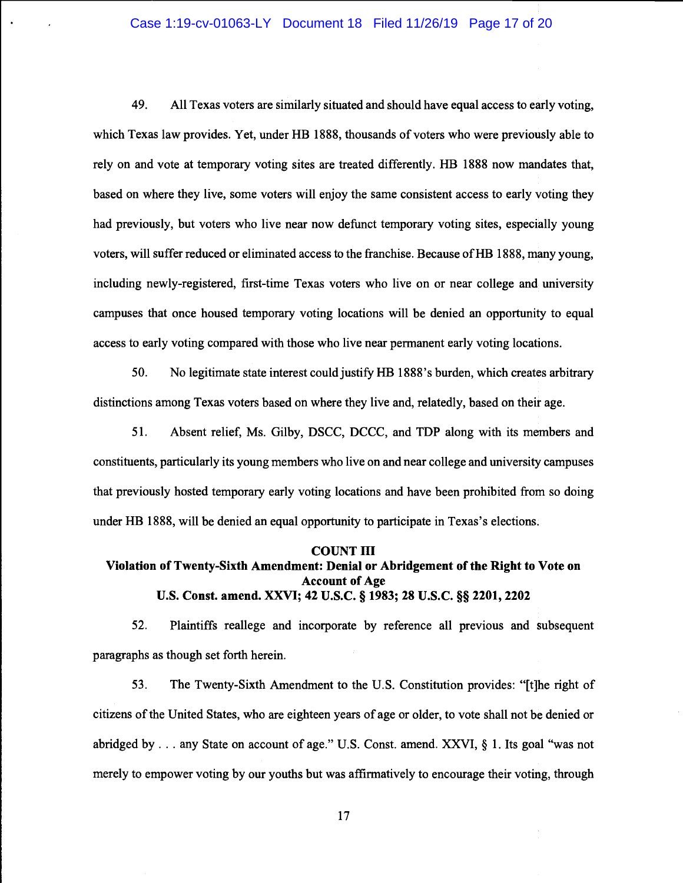# Case 1:19-cv-01063-LY Document 18 Filed 11/26/19 Page 17 of 20

49. All Texas voters are similarly situated and should have equal access to early voting, which Texas law provides. Yet, under HB 1888, thousands of voters who were previously able to rely on and vote at temporary voting sites are treated differently. HB 1888 now mandates that, based on where they live, some voters will enjoy the same consistent access to early voting they had previously, but voters who live near now defunct temporary voting sites, especially young voters, will suffer reduced or eliminated access to the franchise. Because of HB 1888, many young, including newly-registered, first-time Texas voters who live on or near college and university campuses that once housed temporary voting locations will be denied an opportunity to equal access to early voting compared with those who live near permanent early voting locations.

50. No legitimate state interest could justify HB 1888's burden, which creates arbitrary distinctions among Texas voters based on where they live and, relatedly, based on their age.

51. Absent relief, Ms. Gilby, DSCC, DCCC, and TDP along with its members and constituents, particularly its young members who live on and near college and university campuses that previously hosted temporary early voting locations and have been prohibited from so doing under HB 1888, will be denied an equal opportunity to participate in Texas's elections.

#### COUNT HI

# Violation of Twenty-Sixth Amendment: Denial or Abridgement of the Right to Vote on Account of Age U.S. Const. amend. XXVI; 42 U.S.C. § 1983; 28 U.S.C. § 2201, 2202

52. Plaintiffs reallege and incorporate by reference all previous and subsequent paragraphs as though set forth herein.

53. The Twenty-Sixth Amendment to the U.S. Constitution provides: "[t]he right of citizens of the United States, who are eighteen years of age or older, to vote shall not be denied or abridged by.. . any State on account of age." U.S. Const. amend. XXVI, § 1. Its goal "was not merely to empower voting by our youths but was affirmatively to encourage their voting, through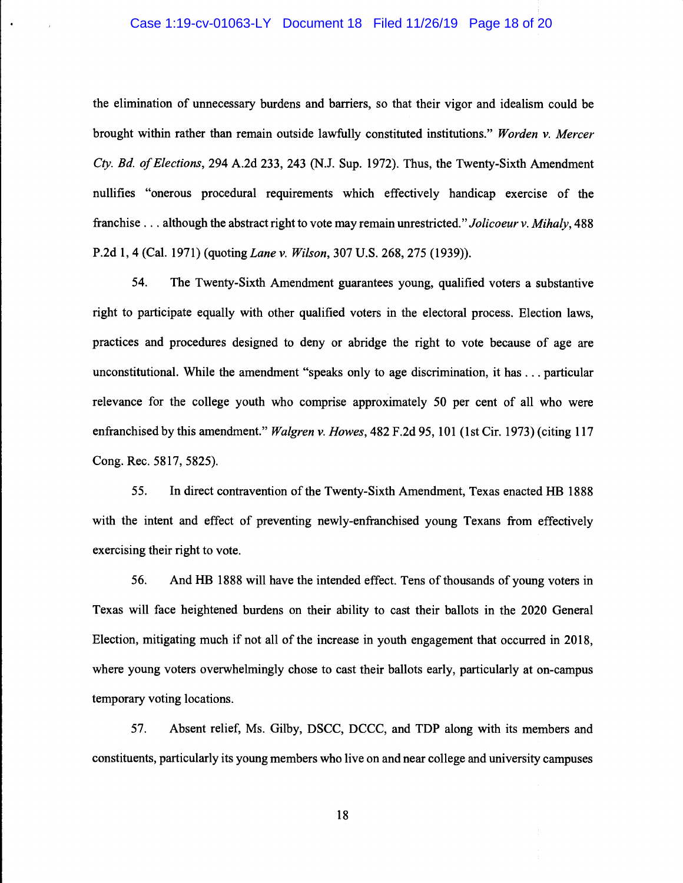# Case 1:19-cv-01063-LY Document 18 Filed 11/26/19 Page 18 of 20

the elimination of unnecessary burdens and barriers, so that their vigor and idealism could be brought within rather than remain outside lawfully constituted institutions." Worden v. Mercer Cty. Rd. of Elections, 294 A.2d 233, 243 (N.J. Sup. 1972). Thus, the Twenty-Sixth Amendment nullifies "onerous procedural requirements which effectively handicap exercise of the franchise. . . although the abstract right to vote may remain unrestricted." Jolicoeur v. Mihaly, 488 P.2d 1, 4 (Cal. 1971) (quoting Lane v. Wilson, 307 U.S. 268, 275 (1939)).

54. The Twenty-Sixth Amendment guarantees young, qualified voters a substantive right to participate equally with other qualified voters in the electoral process. Election laws, practices and procedures designed to deny or abridge the right to vote because of age are unconstitutional. While the amendment "speaks only to age discrimination, it has. . . particular relevance for the college youth who comprise approximately 50 per cent of all who were enfranchised by this amendment." Walgren v. Howes, 482 F.2d 95, 101 (1st Cir. 1973) (citing 117 Cong. Rec. 5817, 5825).

55. In direct contravention of the Twenty-Sixth Amendment, Texas enacted HB 1888 with the intent and effect of preventing newly-enfranchised young Texans from effectively exercising their right to vote.

56. And HB 1888 will have the intended effect. Tens of thousands of young voters in Texas will face heightened burdens on their ability to cast their ballots in the 2020 General Election, mitigating much if not all of the increase in youth engagement that occurred in 2018, where young voters overwhelmingly chose to cast their ballots early, particularly at on-campus temporary voting locations.

57. Absent relief, Ms. Gilby, DSCC, DCCC, and TDP along with its members and constituents, particularly its young members who live on and near college and university campuses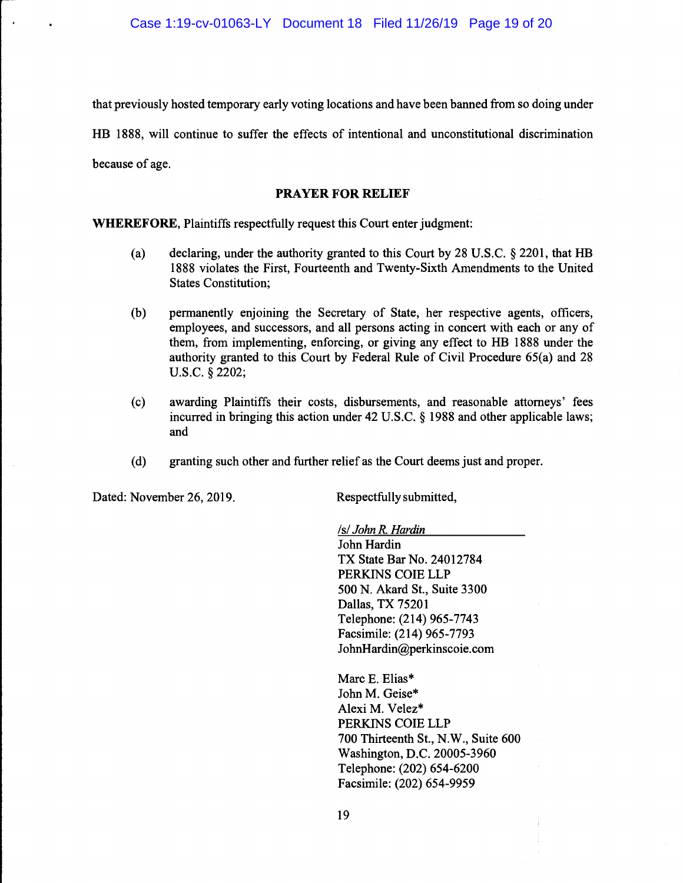that previously hosted temporary early voting locations and have been banned from so doing under HB 1888, will continue to suffer the effects of intentional and unconstitutional discrimination because of age.

# PRAYER FOR RELIEF

WHEREFORE, Plaintiffs respectfully request this Court enter judgment:

- (a) declaring, under the authority granted to this Court by 28 U.S.C. § 2201, that HB 1888 violates the First, Fourteenth and Twenty-Sixth Amendments to the United States Constitution;
- (b) permanently enjoining the Secretary of State, her respective agents, officers, employees, and successors, and all persons acting in concert with each or any of them, from implementing, enforcing, or giving any effect to HB 1888 under the authority granted to this Court by Federal Rule of Civil Procedure 65(a) and 28 U.S.C. § 2202;
- (c) awarding Plaintiffs their costs, disbursements, and reasonable attorneys' fees incurred in bringing this action under 42 U.S.C. § 1988 and other applicable laws; and
- (d) granting such other and further relief as the Court deems just and proper.

Dated: November 26, 2019. Respectfully submitted,

Is/John R. Hardin

John Hardin TX State Bar No. 24012784 PERKINS COlE LLP 500 N. Akard St., Suite 3300 Dallas, TX 75201 Telephone: (214) 965-7743 Facsimile: (214) 965-7793 JohnHardin@perkinscoie.com

Marc E. Elias\* John M. Geise\* Alexi M. Velez\* PERKINS COlE LLP 700 Thirteenth St., N.W., Suite 600 Washington, D.C. 20005-3960 Telephone: (202) 654-6200 Facsimile: (202) 654-9959